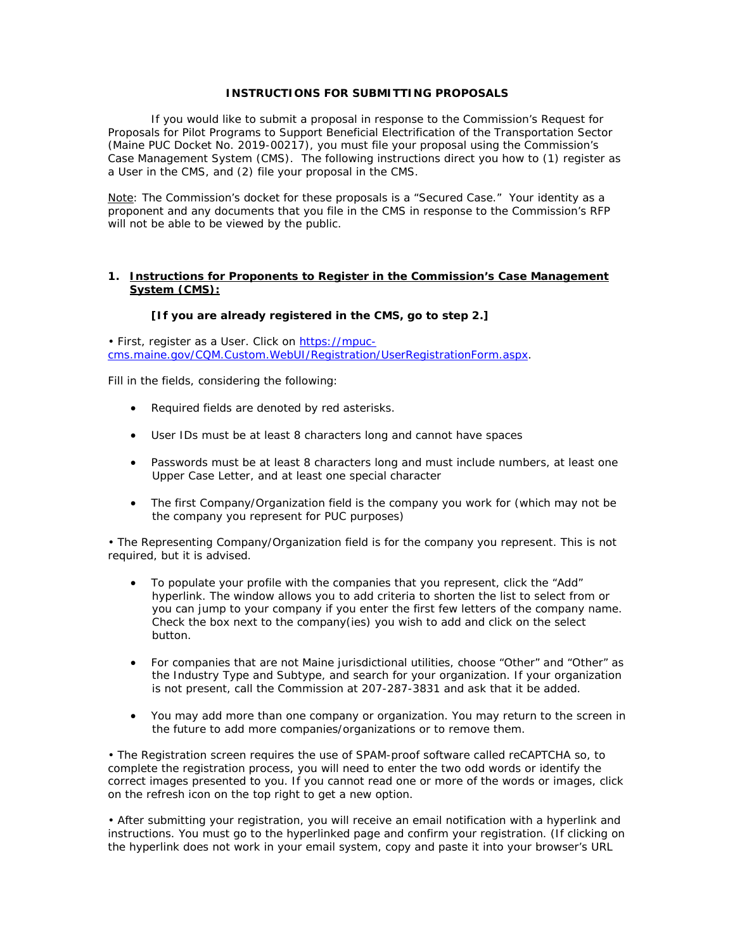#### **INSTRUCTIONS FOR SUBMITTING PROPOSALS**

If you would like to submit a proposal in response to the Commission's Request for Proposals for Pilot Programs to Support Beneficial Electrification of the Transportation Sector (Maine PUC Docket No. 2019-00217), you must file your proposal using the Commission's Case Management System (CMS). The following instructions direct you how to (1) register as a User in the CMS, and (2) file your proposal in the CMS.

Note: The Commission's docket for these proposals is a "Secured Case." Your identity as a proponent and any documents that you file in the CMS in response to the Commission's RFP will not be able to be viewed by the public.

# **1. Instructions for Proponents to Register in the Commission's Case Management System (CMS):**

# **[If you are already registered in the CMS, go to step 2.]**

• First, register as a User. Click on [https://mpuc](https://mpuc-cms.maine.gov/CQM.Custom.WebUI/Registration/UserRegistrationForm.aspx)[cms.maine.gov/CQM.Custom.WebUI/Registration/UserRegistrationForm.aspx.](https://mpuc-cms.maine.gov/CQM.Custom.WebUI/Registration/UserRegistrationForm.aspx)

Fill in the fields, considering the following:

- Required fields are denoted by red asterisks.
- User IDs must be at least 8 characters long and cannot have spaces
- Passwords must be at least 8 characters long and must include numbers, at least one Upper Case Letter, and at least one special character
- The first Company/Organization field is the company you work for (which may not be the company you represent for PUC purposes)

• The Representing Company/Organization field is for the company you represent. This is not required, but it is advised.

- To populate your profile with the companies that you represent, click the "Add" hyperlink. The window allows you to add criteria to shorten the list to select from or you can jump to your company if you enter the first few letters of the company name. Check the box next to the company(ies) you wish to add and click on the select button.
- For companies that are not Maine jurisdictional utilities, choose "Other" and "Other" as the Industry Type and Subtype, and search for your organization. If your organization is not present, call the Commission at 207-287-3831 and ask that it be added.
- You may add more than one company or organization. You may return to the screen in the future to add more companies/organizations or to remove them.

• The Registration screen requires the use of SPAM-proof software called reCAPTCHA so, to complete the registration process, you will need to enter the two odd words or identify the correct images presented to you. If you cannot read one or more of the words or images, click on the refresh icon on the top right to get a new option.

• After submitting your registration, you will receive an email notification with a hyperlink and instructions. You must go to the hyperlinked page and confirm your registration. (If clicking on the hyperlink does not work in your email system, copy and paste it into your browser's URL